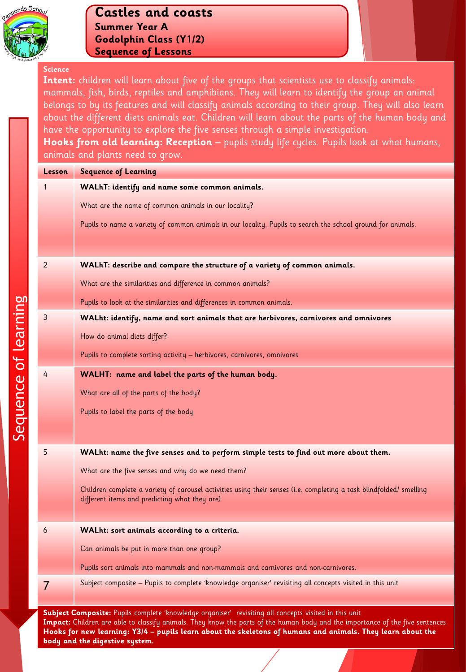

#### **Science**

Intent: children will learn about five of the groups that scientists use to classify animals: mammals, fish, birds, reptiles and amphibians. They will learn to identify the group an animal belongs to by its features and will classify animals according to their group. They will also learn about the different diets animals eat. Children will learn about the parts of the human body and have the opportunity to explore the five senses through a simple investigation. **Hooks from old learning: Reception –** pupils study life cycles. Pupils look at what humans,

animals and plants need to grow.

| <b>Lesson</b>  | <b>Sequence of Learning</b>                                                                                                                                          |
|----------------|----------------------------------------------------------------------------------------------------------------------------------------------------------------------|
| 1              | WALhT: identify and name some common animals.                                                                                                                        |
|                | What are the name of common animals in our locality?                                                                                                                 |
|                | Pupils to name a variety of common animals in our locality. Pupils to search the school ground for animals.                                                          |
|                |                                                                                                                                                                      |
| 2              | WALhT: describe and compare the structure of a variety of common animals.                                                                                            |
|                | What are the similarities and difference in common animals?                                                                                                          |
|                |                                                                                                                                                                      |
| 3              | Pupils to look at the similarities and differences in common animals.                                                                                                |
|                | WALht: identify, name and sort animals that are herbivores, carnivores and omnivores                                                                                 |
|                | How do animal diets differ?                                                                                                                                          |
|                | Pupils to complete sorting activity - herbivores, carnivores, omnivores                                                                                              |
| 4              | WALHT: name and label the parts of the human body.                                                                                                                   |
|                | What are all of the parts of the body?                                                                                                                               |
|                | Pupils to label the parts of the body                                                                                                                                |
|                |                                                                                                                                                                      |
| 5              | WALht: name the five senses and to perform simple tests to find out more about them.                                                                                 |
|                |                                                                                                                                                                      |
|                | What are the five senses and why do we need them?                                                                                                                    |
|                | Children complete a variety of carousel activities using their senses (i.e. completing a task blindfolded/ smelling<br>different items and predicting what they are) |
|                |                                                                                                                                                                      |
| 6              | WALht: sort animals according to a criteria.                                                                                                                         |
|                | Can animals be put in more than one group?                                                                                                                           |
|                | Pupils sort animals into mammals and non-mammals and carnivores and non-carnivores.                                                                                  |
| $\overline{7}$ | Subject composite - Pupils to complete 'knowledge organiser' revisiting all concepts visited in this unit                                                            |
|                |                                                                                                                                                                      |

**Impact:** Children are able to classify animals. They know the parts of the human body and the importance of the five sentences **Hooks for new learning: Y3/4 – pupils learn about the skeletons of humans and animals. They learn about the body and the digestive system.**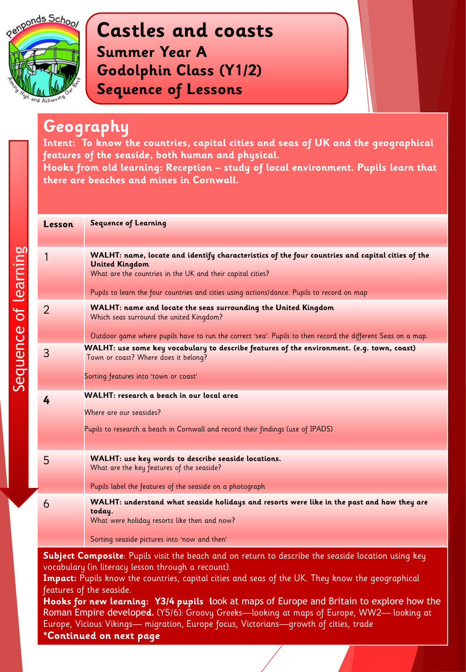

#### **Geography**

**Intent: To know the countries, capital cities and seas of UK and the geographical features of the seaside, both human and physical.**

**Hooks from old learning: Reception – study of local environment. Pupils learn that there are beaches and mines in Cornwall.** 

| Lesson                                                                                                                                                             | <b>Sequence of Learning</b>                                                                                                                                                                                                                                                           |
|--------------------------------------------------------------------------------------------------------------------------------------------------------------------|---------------------------------------------------------------------------------------------------------------------------------------------------------------------------------------------------------------------------------------------------------------------------------------|
| 1                                                                                                                                                                  | WALHT: name, locate and identify characteristics of the four countries and capital cities of the<br><b>United Kingdom</b><br>What are the countries in the UK and their capital cities?<br>Pupils to learn the four countries and cities using actions/dance. Pupils to record on map |
| $\overline{2}$                                                                                                                                                     | <b>WALHT: name and locate the seas surrounding the United Kingdom</b><br>Which seas surround the united Kingdom?<br>Outdoor game where pupils have to run the correct 'sea'. Pupils to then record the different Seas on a map.                                                       |
| 3                                                                                                                                                                  | WALHT: use some key vocabulary to describe features of the environment. (e.g. town, coast)<br>Town or coast? Where does it belong?<br>Sorting features into 'town or coast'                                                                                                           |
| 4                                                                                                                                                                  | WALHT: research a beach in our local area<br>Where are our seasides?<br>Pupils to research a beach in Cornwall and record their findings (use of IPADS)                                                                                                                               |
| 5                                                                                                                                                                  | WALHT: use key words to describe seaside locations.<br>What are the key features of the seaside?<br>Pupils label the features of the seaside on a photograph                                                                                                                          |
| 6                                                                                                                                                                  | WALHT: understand what seaside holidays and resorts were like in the past and how they are<br>today.<br>What were holiday resorts like then and now?<br>Sorting seaside pictures into 'now and then'                                                                                  |
| ${\sf Subject \; Compute}$ . Pupils visit the beach and on return to describe the seaside location using key<br>vocabulary (in literacy lesson through a recount). |                                                                                                                                                                                                                                                                                       |

Impact: Pupils know the countries, capital cities and seas of the UK. They know the geographical features of the seaside.

**Hooks for new learning: Y3/4 pupils l**ook at maps of Europe and Britain to explore how the Roman Empire develope**d.** (Y5/6): Groovy Greeks—looking at maps of Europe, WW2— looking at Europe, Vicious Vikings— migration, Europe focus, Victorians—growth of cities, trade

**\*Continued on next page**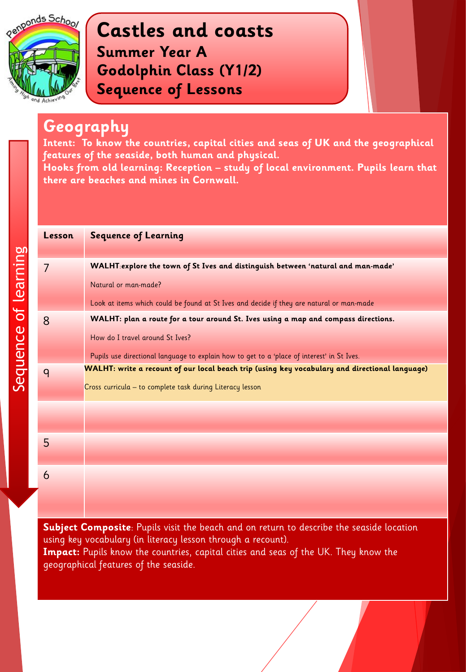

#### **Geography**

**Intent: To know the countries, capital cities and seas of UK and the geographical features of the seaside, both human and physical.**

**Hooks from old learning: Reception – study of local environment. Pupils learn that there are beaches and mines in Cornwall.** 

| Lesson | <b>Sequence of Learning</b>                                                                    |
|--------|------------------------------------------------------------------------------------------------|
| 7      | WALHT:explore the town of St Ives and distinguish between 'natural and man-made'               |
|        | Natural or man-made?                                                                           |
|        | Look at items which could be found at St Ives and decide if they are natural or man-made       |
| 8      | WALHT: plan a route for a tour around St. Ives using a map and compass directions.             |
|        | How do I travel around St Ives?                                                                |
|        | Pupils use directional language to explain how to get to a 'place of interest' in St Ives.     |
| q      | WALHT: write a recount of our local beach trip (using key vocabulary and directional language) |
|        | Cross curricula - to complete task during Literacy lesson                                      |
|        |                                                                                                |
|        |                                                                                                |
| 5      |                                                                                                |
|        |                                                                                                |
| 6      |                                                                                                |
|        |                                                                                                |

**Subject Composite**: Pupils visit the beach and on return to describe the seaside location using key vocabulary (in literacy lesson through a recount). **Impact:** Pupils know the countries, capital cities and seas of the UK. They know the geographical features of the seaside.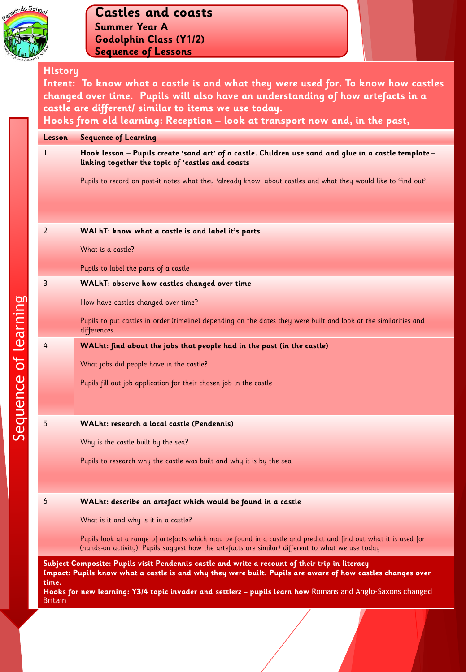

#### **History**

**Intent: To know what a castle is and what they were used for. To know how castles changed over time. Pupils will also have an understanding of how artefacts in a castle are different/ similar to items we use today. Hooks from old learning: Reception – look at transport now and, in the past,**

| Lesson                                                                                                                                                                                                                | <b>Sequence of Learning</b>                                                                                                                                                                                          |
|-----------------------------------------------------------------------------------------------------------------------------------------------------------------------------------------------------------------------|----------------------------------------------------------------------------------------------------------------------------------------------------------------------------------------------------------------------|
| 1                                                                                                                                                                                                                     | Hook lesson – Pupils create 'sand art' of a castle. Children use sand and glue in a castle template–<br>linking together the topic of 'castles and coasts                                                            |
|                                                                                                                                                                                                                       | Pupils to record on post-it notes what they 'already know' about castles and what they would like to 'find out'.                                                                                                     |
|                                                                                                                                                                                                                       |                                                                                                                                                                                                                      |
| $\overline{2}$                                                                                                                                                                                                        | WALhT: know what a castle is and label it's parts                                                                                                                                                                    |
|                                                                                                                                                                                                                       | What is a castle?                                                                                                                                                                                                    |
|                                                                                                                                                                                                                       | Pupils to label the parts of a castle                                                                                                                                                                                |
| 3                                                                                                                                                                                                                     | WALhT: observe how castles changed over time                                                                                                                                                                         |
|                                                                                                                                                                                                                       | How have castles changed over time?                                                                                                                                                                                  |
|                                                                                                                                                                                                                       | Pupils to put castles in order (timeline) depending on the dates they were built and look at the similarities and<br>differences.                                                                                    |
| 4                                                                                                                                                                                                                     | WALht: find about the jobs that people had in the past (in the castle)                                                                                                                                               |
|                                                                                                                                                                                                                       | What jobs did people have in the castle?                                                                                                                                                                             |
|                                                                                                                                                                                                                       | Pupils fill out job application for their chosen job in the castle                                                                                                                                                   |
|                                                                                                                                                                                                                       |                                                                                                                                                                                                                      |
| 5                                                                                                                                                                                                                     | WALht: research a local castle (Pendennis)                                                                                                                                                                           |
|                                                                                                                                                                                                                       | Why is the castle built by the sea?                                                                                                                                                                                  |
|                                                                                                                                                                                                                       | Pupils to research why the castle was built and why it is by the sea                                                                                                                                                 |
|                                                                                                                                                                                                                       |                                                                                                                                                                                                                      |
| 6                                                                                                                                                                                                                     | WALht: describe an artefact which would be found in a castle                                                                                                                                                         |
|                                                                                                                                                                                                                       | What is it and why is it in a castle?                                                                                                                                                                                |
|                                                                                                                                                                                                                       | Pupils look at a range of artefacts which may be found in a castle and predict and find out what it is used for<br>(hands-on activity). Pupils suggest how the artefacts are similar/ different to what we use today |
| Subject Composite: Pupils visit Pendennis castle and write a recount of their trip in literacy<br>Impact: Pupils know what a castle is and why they were built. Pupils are aware of how castles changes over<br>time. |                                                                                                                                                                                                                      |

**Hooks for new learning: Y3/4 topic invader and settlerz – pupils learn how** Romans and Anglo-Saxons changed Britain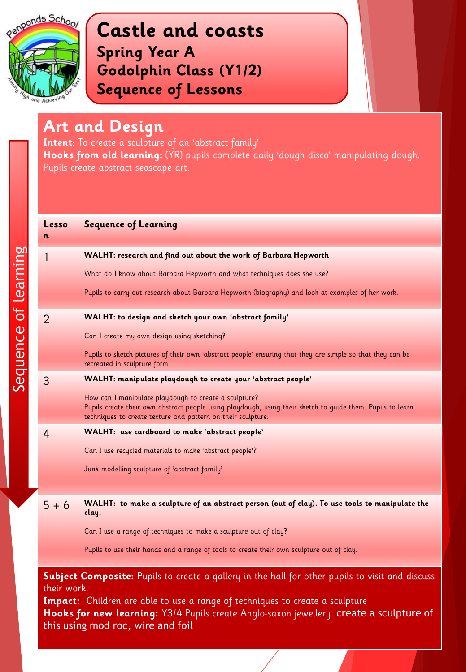

#### **Art and Design**

**Intent**: To create a sculpture of an 'abstract family' Hooks from old learning: (YR) pupils complete daily 'dough disco' manipulating dough. Pupils create abstract seascape art.

| Lesso<br>n  | <b>Sequence of Learning</b>                                                                                                                                                                                                         |
|-------------|-------------------------------------------------------------------------------------------------------------------------------------------------------------------------------------------------------------------------------------|
| 1           | WALHT: research and find out about the work of Barbara Hepworth                                                                                                                                                                     |
|             | What do I know about Barbara Hepworth and what techniques does she use?                                                                                                                                                             |
|             | Pupils to carry out research about Barbara Hepworth (biography) and look at examples of her work.                                                                                                                                   |
| 2           | WALHT: to design and sketch your own 'abstract family'                                                                                                                                                                              |
|             | Can I create my own design using sketching?                                                                                                                                                                                         |
|             | Pupils to sketch pictures of their own 'abstract people' ensuring that they are simple so that they can be<br>recreated in sculpture form                                                                                           |
| 3           | WALHT: manipulate playdough to create your 'abstract people'                                                                                                                                                                        |
|             | How can I manipulate playdough to create a sculpture?<br>Pupils create their own abstract people using playdough, using their sketch to guide them. Pupils to learn<br>techniques to create texture and pattern on their sculpture. |
| 4           | WALHT: use cardboard to make 'abstract people'                                                                                                                                                                                      |
|             | Can I use recycled materials to make 'abstract people'?                                                                                                                                                                             |
|             | Junk modelling sculpture of 'abstract family'                                                                                                                                                                                       |
|             |                                                                                                                                                                                                                                     |
| $5 + 6$     | WALHT: to make a sculpture of an abstract person (out of clay). To use tools to manipulate the<br>clay.                                                                                                                             |
|             | Can I use a range of techniques to make a sculpture out of clay?                                                                                                                                                                    |
|             | Pupils to use their hands and a range of tools to create their own sculpture out of clay.                                                                                                                                           |
| their work. | <b>Subject Composite:</b> Pupils to create a gallery in the hall for other pupils to visit and discuss                                                                                                                              |

**Impact:** Children are able to use a range of techniques to create a sculpture **Hooks for new learning:** Y3/4 Pupils create Anglo-saxon jewellery. create a sculpture of this using mod roc, wire and foil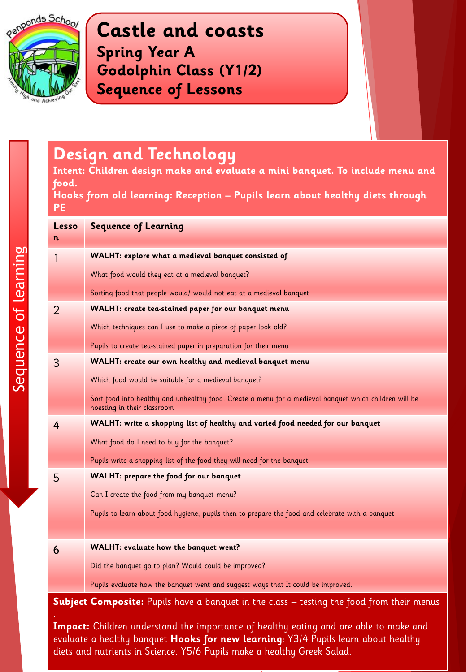

## **Design and Technology**

**Intent: Children design make and evaluate a mini banquet. To include menu and food.** 

**Hooks from old learning: Reception – Pupils learn about healthy diets through PE**

| Lesso<br>n                                                                                | <b>Sequence of Learning</b>                                                                                                           |
|-------------------------------------------------------------------------------------------|---------------------------------------------------------------------------------------------------------------------------------------|
| 1                                                                                         | WALHT: explore what a medieval banquet consisted of                                                                                   |
|                                                                                           | What food would they eat at a medieval banquet?                                                                                       |
|                                                                                           | Sorting food that people would/ would not eat at a medieval banquet                                                                   |
| 2                                                                                         | WALHT: create tea-stained paper for our banquet menu                                                                                  |
|                                                                                           | Which techniques can I use to make a piece of paper look old?                                                                         |
|                                                                                           | Pupils to create tea-stained paper in preparation for their menu                                                                      |
| 3                                                                                         | WALHT: create our own healthy and medieval banquet menu                                                                               |
|                                                                                           | Which food would be suitable for a medieval banquet?                                                                                  |
|                                                                                           | Sort food into healthy and unhealthy food. Create a menu for a medieval banquet which children will be<br>hoesting in their classroom |
| 4                                                                                         | WALHT: write a shopping list of healthy and varied food needed for our banquet                                                        |
|                                                                                           | What food do I need to buy for the banquet?                                                                                           |
|                                                                                           | Pupils write a shopping list of the food they will need for the banquet                                                               |
| 5                                                                                         | <b>WALHT: prepare the food for our banquet</b>                                                                                        |
|                                                                                           | Can I create the food from my banquet menu?                                                                                           |
|                                                                                           | Pupils to learn about food hygiene, pupils then to prepare the food and celebrate with a banquet                                      |
|                                                                                           |                                                                                                                                       |
| 6                                                                                         | <b>WALHT: evaluate how the banquet went?</b>                                                                                          |
|                                                                                           | Did the banquet go to plan? Would could be improved?                                                                                  |
|                                                                                           | Pupils evaluate how the banquet went and suggest ways that It could be improved.                                                      |
| Subject Composite: Pupils have a banquet in the class - testing the food from their menus |                                                                                                                                       |

**Impact:** Children understand the importance of healthy eating and are able to make and evaluate a healthy banquet **Hooks for new learning**: Y3/4 Pupils learn about healthy diets and nutrients in Science. Y5/6 Pupils make a healthy Greek Salad.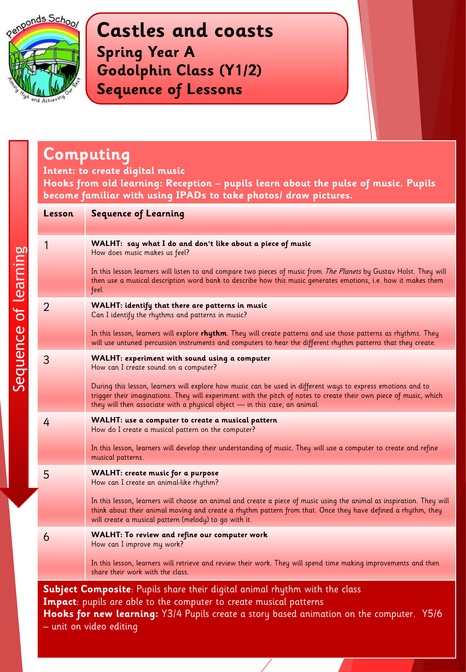

# **Computing**

**Intent: to create digital music** 

**Hooks from old learning: Reception – pupils learn about the pulse of music. Pupils become familiar with using IPADs to take photos/ draw pictures.**

| <b>Lesson</b>                                                                                                                                                    | <b>Sequence of Learning</b>                                                                                                                                                                                                                                                                                      |
|------------------------------------------------------------------------------------------------------------------------------------------------------------------|------------------------------------------------------------------------------------------------------------------------------------------------------------------------------------------------------------------------------------------------------------------------------------------------------------------|
|                                                                                                                                                                  | WALHT: say what I do and don't like about a piece of music<br>How does music makes us feel?                                                                                                                                                                                                                      |
|                                                                                                                                                                  | In this lesson learners will listen to and compare two pieces of music from The Planets by Gustav Holst. They will<br>then use a musical description word bank to describe how this music generates emotions, i.e. how it makes them<br>feel.                                                                    |
| 2                                                                                                                                                                | WALHT: identify that there are patterns in music<br>Can I identify the rhythms and patterns in music?                                                                                                                                                                                                            |
|                                                                                                                                                                  | In this lesson, learners will explore rhythm. They will create patterns and use those patterns as rhythms. They<br>will use untuned percussion instruments and computers to hear the different rhythm patterns that they create.                                                                                 |
| 3                                                                                                                                                                | WALHT: experiment with sound using a computer<br>How can I create sound on a computer?                                                                                                                                                                                                                           |
|                                                                                                                                                                  | During this lesson, learners will explore how music can be used in different ways to express emotions and to<br>trigger their imaginations. They will experiment with the pitch of notes to create their own piece of music, which<br>they will then associate with a physical object - in this case, an animal. |
| 4                                                                                                                                                                | <b>WALHT: use a computer to create a musical pattern</b><br>How do I create a musical pattern on the computer?                                                                                                                                                                                                   |
|                                                                                                                                                                  | In this lesson, learners will develop their understanding of music. They will use a computer to create and refine<br>musical patterns.                                                                                                                                                                           |
| 5                                                                                                                                                                | <b>WALHT: create music for a purpose</b><br>How can I create an animal-like rhythm?                                                                                                                                                                                                                              |
|                                                                                                                                                                  | In this lesson, learners will choose an animal and create a piece of music using the animal as inspiration. They will<br>think about their animal moving and create a rhythm pattern from that. Once they have defined a rhythm, they<br>will create a musical pattern (melody) to go with it.                   |
| 6                                                                                                                                                                | <b>WALHT: To review and refine our computer work</b><br>How can I improve my work?                                                                                                                                                                                                                               |
|                                                                                                                                                                  | In this lesson, learners will retrieve and review their work. They will spend time making improvements and then<br>share their work with the class.                                                                                                                                                              |
| <b>Subject Composite</b> : Pupils share their digital animal rhythm with the class<br><b>Impact</b> : pupils are able to the computer to create musical patterns |                                                                                                                                                                                                                                                                                                                  |

**Hooks for new learning:** Y3/4 Pupils create a story based animation on the computer. Y5/6 – unit on video editing